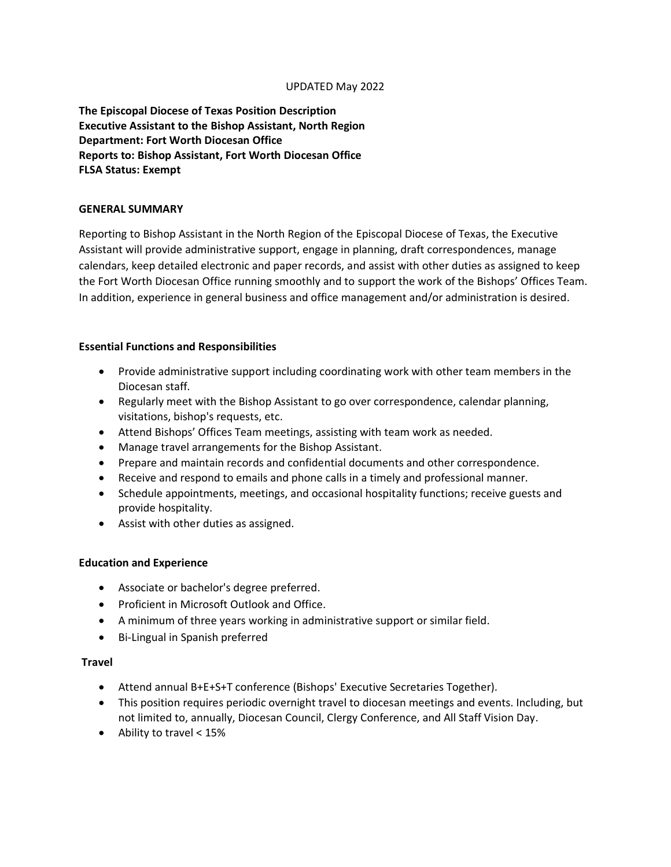## UPDATED May 2022

**The Episcopal Diocese of Texas Position Description Executive Assistant to the Bishop Assistant, North Region Department: Fort Worth Diocesan Office Reports to: Bishop Assistant, Fort Worth Diocesan Office FLSA Status: Exempt**

## **GENERAL SUMMARY**

Reporting to Bishop Assistant in the North Region of the Episcopal Diocese of Texas, the Executive Assistant will provide administrative support, engage in planning, draft correspondences, manage calendars, keep detailed electronic and paper records, and assist with other duties as assigned to keep the Fort Worth Diocesan Office running smoothly and to support the work of the Bishops' Offices Team. In addition, experience in general business and office management and/or administration is desired.

## **Essential Functions and Responsibilities**

- Provide administrative support including coordinating work with other team members in the Diocesan staff.
- Regularly meet with the Bishop Assistant to go over correspondence, calendar planning, visitations, bishop's requests, etc.
- Attend Bishops' Offices Team meetings, assisting with team work as needed.
- Manage travel arrangements for the Bishop Assistant.
- Prepare and maintain records and confidential documents and other correspondence.
- Receive and respond to emails and phone calls in a timely and professional manner.
- Schedule appointments, meetings, and occasional hospitality functions; receive guests and provide hospitality.
- Assist with other duties as assigned.

#### **Education and Experience**

- Associate or bachelor's degree preferred.
- Proficient in Microsoft Outlook and Office.
- A minimum of three years working in administrative support or similar field.
- Bi-Lingual in Spanish preferred

# **Travel**

- Attend annual B+E+S+T conference (Bishops' Executive Secretaries Together).
- This position requires periodic overnight travel to diocesan meetings and events. Including, but not limited to, annually, Diocesan Council, Clergy Conference, and All Staff Vision Day.
- Ability to travel < 15%